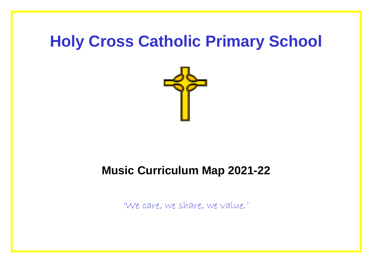## **Holy Cross Catholic Primary School**



## **Music Curriculum Map 2021-22**

'We care, we share, we value.'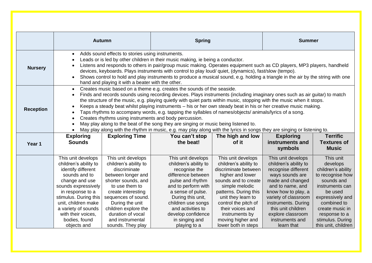|                  | <b>Autumn</b>                                                                                                                                                                                                                                                                                                                                                                                                                                                                                                                                                                                                                                                                                                                                                                                                                                                                                                                        |                                                                                                                                                                                                                                                                                  | <b>Spring</b>                                                                                                                                                                                                                                                              |                                                                                                                                                                                                                                                                                            | <b>Summer</b>                                                                                                                                                                                                                                                                   |                                                                                                                                                                                                                               |  |
|------------------|--------------------------------------------------------------------------------------------------------------------------------------------------------------------------------------------------------------------------------------------------------------------------------------------------------------------------------------------------------------------------------------------------------------------------------------------------------------------------------------------------------------------------------------------------------------------------------------------------------------------------------------------------------------------------------------------------------------------------------------------------------------------------------------------------------------------------------------------------------------------------------------------------------------------------------------|----------------------------------------------------------------------------------------------------------------------------------------------------------------------------------------------------------------------------------------------------------------------------------|----------------------------------------------------------------------------------------------------------------------------------------------------------------------------------------------------------------------------------------------------------------------------|--------------------------------------------------------------------------------------------------------------------------------------------------------------------------------------------------------------------------------------------------------------------------------------------|---------------------------------------------------------------------------------------------------------------------------------------------------------------------------------------------------------------------------------------------------------------------------------|-------------------------------------------------------------------------------------------------------------------------------------------------------------------------------------------------------------------------------|--|
|                  |                                                                                                                                                                                                                                                                                                                                                                                                                                                                                                                                                                                                                                                                                                                                                                                                                                                                                                                                      |                                                                                                                                                                                                                                                                                  |                                                                                                                                                                                                                                                                            |                                                                                                                                                                                                                                                                                            |                                                                                                                                                                                                                                                                                 |                                                                                                                                                                                                                               |  |
| <b>Nursery</b>   | Adds sound effects to stories using instruments.<br>$\bullet$<br>Leads or is led by other children in their music making, ie being a conductor.<br>$\bullet$<br>Listens and responds to others in pair/group music making. Operates equipment such as CD players, MP3 players, handheld<br>$\bullet$<br>devices, keyboards. Plays instruments with control to play loud/ quiet, (dynamics), fast/slow (tempo).<br>Shows control to hold and play instruments to produce a musical sound, e.g. holding a triangle in the air by the string with one<br>$\bullet$<br>hand and playing it with a beater with the other.                                                                                                                                                                                                                                                                                                                 |                                                                                                                                                                                                                                                                                  |                                                                                                                                                                                                                                                                            |                                                                                                                                                                                                                                                                                            |                                                                                                                                                                                                                                                                                 |                                                                                                                                                                                                                               |  |
| <b>Reception</b> | Creates music based on a theme e.g. creates the sounds of the seaside.<br>$\bullet$<br>Finds and records sounds using recording devices. Plays instruments (including imaginary ones such as air guitar) to match<br>$\bullet$<br>the structure of the music, e.g. playing quietly with quiet parts within music, stopping with the music when it stops.<br>Keeps a steady beat whilst playing instruments – his or her own steady beat in his or her creative music making.<br>$\bullet$<br>Taps rhythms to accompany words, e.g. tapping the syllables of names/objects/ animals/lyrics of a song.<br>$\bullet$<br>Creates rhythms using instruments and body percussion.<br>$\bullet$<br>May play along to the beat of the song they are singing or music being listened to.<br>$\bullet$<br>May play along with the rhythm in music, e.g. may play along with the lyrics in songs they are singing or listening to.<br>$\bullet$ |                                                                                                                                                                                                                                                                                  |                                                                                                                                                                                                                                                                            |                                                                                                                                                                                                                                                                                            |                                                                                                                                                                                                                                                                                 |                                                                                                                                                                                                                               |  |
| Year 1           | <b>Exploring</b><br><b>Sounds</b>                                                                                                                                                                                                                                                                                                                                                                                                                                                                                                                                                                                                                                                                                                                                                                                                                                                                                                    | <b>Exploring Time</b>                                                                                                                                                                                                                                                            | You can't stop<br>the beat!                                                                                                                                                                                                                                                | The high and low<br>of it                                                                                                                                                                                                                                                                  | <b>Exploring</b><br>instruments and<br>symbols                                                                                                                                                                                                                                  | <b>Terrific</b><br><b>Textures of</b><br><b>Music</b>                                                                                                                                                                         |  |
|                  | This unit develops<br>children's ability to<br>identify different<br>sounds and to<br>change and use<br>sounds expressively<br>in response to a<br>stimulus. During this<br>unit, children make<br>a variety of sounds<br>with their voices,<br>bodies, found<br>objects and                                                                                                                                                                                                                                                                                                                                                                                                                                                                                                                                                                                                                                                         | This unit develops<br>children's ability to<br>discriminate<br>between longer and<br>shorter sounds, and<br>to use them to<br>create interesting<br>sequences of sound.<br>During the unit<br>children explore the<br>duration of vocal<br>and instrumental<br>sounds. They play | This unit develops<br>children's ability to<br>recognise the<br>difference between<br>pulse and rhythm<br>and to perform with<br>a sense of pulse.<br>During this unit,<br>children use songs<br>and activities to<br>develop confidence<br>in singing and<br>playing to a | This unit develops<br>children's ability to<br>discriminate between<br>higher and lower<br>sounds and to create<br>simple melodic<br>patterns. During this<br>unit they learn to<br>control the pitch of<br>their voices and<br>instruments by<br>moving higher and<br>lower both in steps | This unit develops<br>children's ability to<br>recognise different<br>ways sounds are<br>made and changed<br>and to name, and<br>know how to play, a<br>variety of classroom<br>instruments. During<br>this unit children<br>explore classroom<br>instruments and<br>learn that | This unit<br>develops<br>children's ability<br>to recognise how<br>sounds and<br>instruments can<br>be used<br>expressively and<br>combined to<br>create music in<br>response to a<br>stimulus. During<br>this unit, children |  |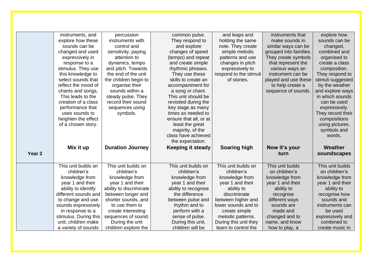| explore how<br>instruments, and<br>percussion<br>common pulse.<br>and leaps and<br>instruments that<br>explore how these<br>instruments with<br>They respond to<br>make sounds in<br>sounds can be<br>holding the same<br>sounds can be<br>control and<br>and explore<br>note. They create<br>similar ways can be<br>changed, |
|-------------------------------------------------------------------------------------------------------------------------------------------------------------------------------------------------------------------------------------------------------------------------------------------------------------------------------|
|                                                                                                                                                                                                                                                                                                                               |
|                                                                                                                                                                                                                                                                                                                               |
|                                                                                                                                                                                                                                                                                                                               |
| changed and used<br>sensitivity, paying<br>changes of speed<br>simple melodic<br>grouped into families.<br>combined and                                                                                                                                                                                                       |
| (tempo) and repeat<br>patterns and use<br>expressively in<br>They create symbols<br>organised to<br>attention to                                                                                                                                                                                                              |
| dynamics, tempo<br>and create simple<br>changes in pitch<br>that represent the<br>create a class<br>response to a                                                                                                                                                                                                             |
| stimulus. They use<br>and pitch. Towards<br>rhythmic phrases.<br>expressively to<br>various ways an<br>composition.                                                                                                                                                                                                           |
| this knowledge to<br>the end of the unit<br>They use these<br>respond to the stimuli<br>instrument can be<br>They respond to                                                                                                                                                                                                  |
| select sounds that<br>the children begin to<br>skills to create an<br>of stories.<br>played and use these<br>stimuli suggested                                                                                                                                                                                                |
| reflect the mood of<br>to help create a<br>by the weather<br>organise their<br>accompaniment for                                                                                                                                                                                                                              |
| sounds within a<br>sequence of sounds.<br>and explore ways<br>chants and songs.<br>a song or chant.                                                                                                                                                                                                                           |
| This leads to the<br>This unit should be<br>in which sounds<br>steady pulse. They                                                                                                                                                                                                                                             |
| creation of a class<br>record their sound<br>revisited during the<br>can be used                                                                                                                                                                                                                                              |
| performance that<br>key stage as many<br>expressively.<br>sequences using                                                                                                                                                                                                                                                     |
| uses sounds to<br>symbols.<br>times as needed to<br>They record their                                                                                                                                                                                                                                                         |
| heighten the effect<br>ensure that all, or at<br>compositions                                                                                                                                                                                                                                                                 |
| of a chosen story.<br>least the great<br>using pictures,                                                                                                                                                                                                                                                                      |
| majority, of the<br>symbols and                                                                                                                                                                                                                                                                                               |
| class have achieved<br>words.                                                                                                                                                                                                                                                                                                 |
| the expectation.                                                                                                                                                                                                                                                                                                              |
| <b>Duration Journey</b><br>Mix it up<br><b>Soaring high</b><br>Now it's your<br><b>Keeping it steady</b><br><b>Weather</b>                                                                                                                                                                                                    |
| Year <sub>2</sub><br>soundscapes<br>turn                                                                                                                                                                                                                                                                                      |
|                                                                                                                                                                                                                                                                                                                               |
| This unit builds on<br>This unit builds on<br>This unit builds<br>This unit builds<br>This unit builds on<br>This unit builds on                                                                                                                                                                                              |
| children's<br>on children's<br>on children's<br>children's<br>children's<br>children's                                                                                                                                                                                                                                        |
| knowledge from<br>knowledge from<br>knowledge from<br>knowledge from<br>knowledge from<br>knowledge from                                                                                                                                                                                                                      |
| year 1 and their<br>year 1 and their<br>year 1 and their<br>year 1 and their<br>year 1 and their<br>year 1 and their                                                                                                                                                                                                          |
| ability to identify<br>ability to discriminate<br>ability to recognise<br>ability to<br>ability to<br>ability to                                                                                                                                                                                                              |
| different sounds and<br>the difference<br>between longer and<br>discriminate<br>recognise<br>recognise how                                                                                                                                                                                                                    |
| sounds and<br>to change and use<br>shorter sounds, and<br>between pulse and<br>between higher and<br>different ways                                                                                                                                                                                                           |
| sounds expressively<br>to use them to<br>rhythm and to<br>lower sounds and to<br>sounds are<br>instruments can                                                                                                                                                                                                                |
| perform with a<br>made and<br>in response to a<br>create interesting<br>create simple<br>be used                                                                                                                                                                                                                              |
| changed and to<br>stimulus. During this<br>sequences of sound.<br>sense of pulse.<br>melodic patterns.<br>expressively and                                                                                                                                                                                                    |
| unit, children make<br>During the unit<br>During this unit,<br>During this unit they<br>name, and know<br>combined to                                                                                                                                                                                                         |
| children will be<br>a variety of sounds<br>children explore the<br>learn to control the<br>how to play, a<br>create music in                                                                                                                                                                                                  |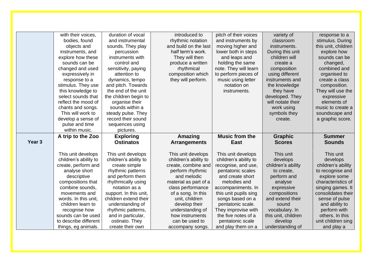|                   | with their voices,                           | duration of vocal                  | introduced to                      | pitch of their voices                  | variety of                  | response to a                    |
|-------------------|----------------------------------------------|------------------------------------|------------------------------------|----------------------------------------|-----------------------------|----------------------------------|
|                   | bodies, found                                | and instrumental                   | rhythmic notation                  | and instruments by                     | classroom                   | stimulus. During                 |
|                   | objects and                                  | sounds. They play                  | and build on the last              | moving higher and                      | instruments.                | this unit, children              |
|                   | instruments, and                             | percussion                         | half term's work.                  | lower both in steps                    | During this unit            | explore how                      |
|                   | explore how these                            | instruments with                   | They will then                     | and leaps and                          | children will               | sounds can be                    |
|                   | sounds can be                                | control and                        | produce a written                  | holding the same                       | create a                    | changed,                         |
|                   | changed and used                             | sensitivity, paying                | rhythmical                         | note. They will learn                  | composition                 | combined and                     |
|                   | expressively in                              | attention to                       | composition which                  | to perform pieces of                   | using different             | organised to                     |
|                   | response to a                                | dynamics, tempo                    | they will perform.                 | music using letter                     | instruments and             | create a class                   |
|                   | stimulus. They use                           | and pitch. Towards                 |                                    | notation on                            | the knowledge               | composition.                     |
|                   | this knowledge to                            | the end of the unit                |                                    | instruments.                           | they have                   | They will use the                |
|                   | select sounds that                           | the children begin to              |                                    |                                        | developed. They             | expressive                       |
|                   | reflect the mood of                          | organise their                     |                                    |                                        | will notate their           | elements of                      |
|                   | chants and songs.                            | sounds within a                    |                                    |                                        | work using                  | music to create a                |
|                   | This will work to                            | steady pulse. They                 |                                    |                                        | symbols they                | soundscape and                   |
|                   | develop a sense of                           | record their sound                 |                                    |                                        | create.                     | a graphic score.                 |
|                   | pulse and time                               | sequences using                    |                                    |                                        |                             |                                  |
|                   | within music.                                | pictures.                          |                                    |                                        |                             |                                  |
|                   |                                              |                                    |                                    |                                        |                             |                                  |
|                   | A trip to the Zoo                            | <b>Exploring</b>                   | Amazing                            | <b>Music from the</b>                  | <b>Graphic</b>              | <b>Summer</b>                    |
| Year <sub>3</sub> |                                              | <b>Ostinatos</b>                   | <b>Arrangements</b>                | <b>East</b>                            | <b>Scores</b>               | <b>Sounds</b>                    |
|                   |                                              |                                    |                                    |                                        |                             |                                  |
|                   | This unit develops                           | This unit develops                 | This unit develops                 | This unit develops                     | This unit                   | This unit                        |
|                   | children's ability to                        | children's ability to              | children's ability to              | children's ability to                  | develops                    | develops                         |
|                   | create, perform and                          | create simple                      | create, combine and                | recognise, and use,                    | children's ability          | children's ability               |
|                   | analyse short                                | rhythmic patterns                  | perform rhythmic                   | pentatonic scales                      | to create,                  | to recognise and                 |
|                   | descriptive                                  | and perform them                   | and melodic                        | and create short                       | perform and                 | explore some                     |
|                   | compositions that                            | rhythmically using                 | material as part of a              | melodies and                           | analyse                     | characteristics of               |
|                   | combine sounds.                              | notation as a                      | class performance                  | accompaniments. In                     | expressive                  | singing games. It                |
|                   | movements and                                | support. In this unit,             | of a song. In this                 | this unit pupils sing                  | compositions                | consolidates their               |
|                   | words. In this unit,                         | children extend their              | unit, children                     | songs based on a                       | and extend their            | sense of pulse                   |
|                   | children learn to                            | understanding of                   | develop their                      | pentatonic scale.                      | sound                       | and ability to                   |
|                   | recognise how                                | rhythmic patterns,                 | understanding of                   | They improvise with                    | vocabulary. In              | perform with                     |
|                   | sounds can be used                           | and in particular,                 | how instruments                    | the five notes of a                    | this unit, children         | others. In this                  |
|                   | to describe different<br>things, eg animals. | ostinato. They<br>create their own | can be used to<br>accompany songs. | pentatonic scale<br>and play them on a | develop<br>understanding of | unit children sing<br>and play a |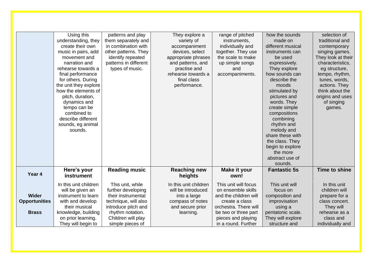|                      | Using this<br>understanding, they<br>create their own<br>music in pairs, add<br>movement and<br>narration and<br>rehearse towards a | patterns and play<br>them separately and<br>in combination with<br>other patterns. They<br>identify repeated<br>patterns in different<br>types of music. | They explore a<br>variety of<br>accompaniment<br>devices, select<br>appropriate phrases<br>and patterns, and<br>practise and | range of pitched<br>instruments,<br>individually and<br>together. They use<br>the scale to make<br>up simple songs<br>and | how the sounds<br>made on<br>different musical<br>instruments can<br>be used<br>expressively.<br>They explore | selection of<br>traditional and<br>contemporary<br>singing games.<br>They look at their<br>characteristics,<br>eg structure, |
|----------------------|-------------------------------------------------------------------------------------------------------------------------------------|----------------------------------------------------------------------------------------------------------------------------------------------------------|------------------------------------------------------------------------------------------------------------------------------|---------------------------------------------------------------------------------------------------------------------------|---------------------------------------------------------------------------------------------------------------|------------------------------------------------------------------------------------------------------------------------------|
|                      | final performance<br>for others. During                                                                                             |                                                                                                                                                          | rehearse towards a<br>final class                                                                                            | accompaniments.                                                                                                           | how sounds can<br>describe the                                                                                | tempo, rhythm,<br>tunes, words,                                                                                              |
|                      | the unit they explore<br>how the elements of                                                                                        |                                                                                                                                                          | performance.                                                                                                                 |                                                                                                                           | moods<br>stimulated by                                                                                        | actions. They<br>think about the                                                                                             |
|                      | pitch, duration,<br>dynamics and                                                                                                    |                                                                                                                                                          |                                                                                                                              |                                                                                                                           | pictures and<br>words. They                                                                                   | origins and uses<br>of singing                                                                                               |
|                      | tempo can be<br>combined to                                                                                                         |                                                                                                                                                          |                                                                                                                              |                                                                                                                           | create simple<br>compositions                                                                                 | games.                                                                                                                       |
|                      | describe different                                                                                                                  |                                                                                                                                                          |                                                                                                                              |                                                                                                                           | combining                                                                                                     |                                                                                                                              |
|                      | sounds, eg animal<br>sounds.                                                                                                        |                                                                                                                                                          |                                                                                                                              |                                                                                                                           | rhythm and<br>melody and                                                                                      |                                                                                                                              |
|                      |                                                                                                                                     |                                                                                                                                                          |                                                                                                                              |                                                                                                                           | share these with                                                                                              |                                                                                                                              |
|                      |                                                                                                                                     |                                                                                                                                                          |                                                                                                                              |                                                                                                                           | the class. They<br>begin to explore                                                                           |                                                                                                                              |
|                      |                                                                                                                                     |                                                                                                                                                          |                                                                                                                              |                                                                                                                           | the more                                                                                                      |                                                                                                                              |
|                      |                                                                                                                                     |                                                                                                                                                          |                                                                                                                              |                                                                                                                           | abstract use of<br>sounds.                                                                                    |                                                                                                                              |
|                      | Here's your                                                                                                                         | <b>Reading music</b>                                                                                                                                     | <b>Reaching new</b>                                                                                                          | Make it your                                                                                                              | <b>Fantastic 5s</b>                                                                                           | <b>Time to shine</b>                                                                                                         |
| Year 4               | instrument                                                                                                                          |                                                                                                                                                          | heights                                                                                                                      | own!                                                                                                                      |                                                                                                               |                                                                                                                              |
|                      | In this unit children                                                                                                               | This unit, while                                                                                                                                         | In this unit children                                                                                                        | This unit will focus                                                                                                      | This unit will                                                                                                | In this unit                                                                                                                 |
|                      | will be given an                                                                                                                    | further developing                                                                                                                                       | will be introduced                                                                                                           | on ensemble skills                                                                                                        | focus on                                                                                                      | children will                                                                                                                |
| <b>Wider</b>         | instrument to learn                                                                                                                 | their instrumental                                                                                                                                       | into a large                                                                                                                 | and the children will<br>create a class                                                                                   | composition and                                                                                               | prepare for a                                                                                                                |
| <b>Opportunities</b> | with and develop<br>their musical                                                                                                   | technique, will also<br>introduce pitch and                                                                                                              | compass of notes<br>and secure prior                                                                                         | orchestra. There will                                                                                                     | improvisation<br>using a                                                                                      | class concert.<br>They will                                                                                                  |
| <b>Brass</b>         | knowledge, building                                                                                                                 | rhythm notation.                                                                                                                                         | learning.                                                                                                                    | be two or three part                                                                                                      | pentatonic scale.                                                                                             | rehearse as a                                                                                                                |
|                      | on prior learning.                                                                                                                  | Children will play                                                                                                                                       |                                                                                                                              | pieces and playing                                                                                                        | They will explore                                                                                             | class and                                                                                                                    |
|                      | They will begin to                                                                                                                  | simple pieces of                                                                                                                                         |                                                                                                                              | in a round. Further                                                                                                       | structure and                                                                                                 | individually and                                                                                                             |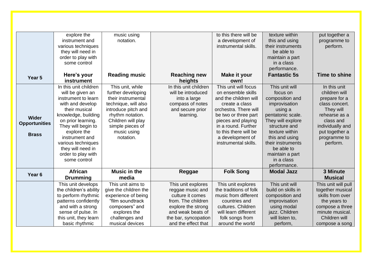| Year 5                                               | explore the<br>instrument and<br>various techniques<br>they will need in<br>order to play with<br>some control<br>Here's your<br>instrument                                                                                                                                                | music using<br>notation.<br><b>Reading music</b>                                                                                                                                                      | <b>Reaching new</b><br>heights                                                                                   | to this there will be<br>a development of<br>instrumental skills.<br><b>Make it your</b><br>own!                                                                                                                                                         | texture within<br>this and using<br>their instruments<br>be able to<br>maintain a part<br>in a class<br>performance.<br><b>Fantastic 5s</b>                                                                                                                  | put together a<br>programme to<br>perform.<br><b>Time to shine</b>                                                                                                            |
|------------------------------------------------------|--------------------------------------------------------------------------------------------------------------------------------------------------------------------------------------------------------------------------------------------------------------------------------------------|-------------------------------------------------------------------------------------------------------------------------------------------------------------------------------------------------------|------------------------------------------------------------------------------------------------------------------|----------------------------------------------------------------------------------------------------------------------------------------------------------------------------------------------------------------------------------------------------------|--------------------------------------------------------------------------------------------------------------------------------------------------------------------------------------------------------------------------------------------------------------|-------------------------------------------------------------------------------------------------------------------------------------------------------------------------------|
| <b>Wider</b><br><b>Opportunities</b><br><b>Brass</b> | In this unit children<br>will be given an<br>instrument to learn<br>with and develop<br>their musical<br>knowledge, building<br>on prior learning.<br>They will begin to<br>explore the<br>instrument and<br>various techniques<br>they will need in<br>order to play with<br>some control | This unit, while<br>further developing<br>their instrumental<br>technique, will also<br>introduce pitch and<br>rhythm notation.<br>Children will play<br>simple pieces of<br>music using<br>notation. | In this unit children<br>will be introduced<br>into a large<br>compass of notes<br>and secure prior<br>learning. | This unit will focus<br>on ensemble skills<br>and the children will<br>create a class<br>orchestra. There will<br>be two or three part<br>pieces and playing<br>in a round. Further<br>to this there will be<br>a development of<br>instrumental skills. | This unit will<br>focus on<br>composition and<br>improvisation<br>using a<br>pentatonic scale.<br>They will explore<br>structure and<br>texture within<br>this and using<br>their instruments<br>be able to<br>maintain a part<br>in a class<br>performance. | In this unit<br>children will<br>prepare for a<br>class concert.<br>They will<br>rehearse as a<br>class and<br>individually and<br>put together a<br>programme to<br>perform. |
| Year <sub>6</sub>                                    | <b>African</b><br><b>Drumming</b>                                                                                                                                                                                                                                                          | <b>Music in the</b><br>media                                                                                                                                                                          | Reggae                                                                                                           | <b>Folk Song</b>                                                                                                                                                                                                                                         | <b>Modal Jazz</b>                                                                                                                                                                                                                                            | 3 Minute<br><b>Musical</b>                                                                                                                                                    |
|                                                      | This unit develops<br>the children's ability                                                                                                                                                                                                                                               | This unit aims to<br>give the children the                                                                                                                                                            | This unit explores<br>reggae music and                                                                           | This unit explores<br>the traditions of folk                                                                                                                                                                                                             | This unit will<br>build on skills in                                                                                                                                                                                                                         | This unit will pull<br>together musical                                                                                                                                       |
|                                                      | to perform rhythmic                                                                                                                                                                                                                                                                        | experience of being                                                                                                                                                                                   | culture it comes                                                                                                 | music from different                                                                                                                                                                                                                                     | composition and                                                                                                                                                                                                                                              | skills from over                                                                                                                                                              |
|                                                      | patterns confidently                                                                                                                                                                                                                                                                       | "film soundtrack                                                                                                                                                                                      | from. The children                                                                                               | countries and                                                                                                                                                                                                                                            | improvisation                                                                                                                                                                                                                                                | the years to                                                                                                                                                                  |
|                                                      | and with a strong                                                                                                                                                                                                                                                                          | composers" and                                                                                                                                                                                        | explore the strong                                                                                               | cultures. Children                                                                                                                                                                                                                                       | using modal                                                                                                                                                                                                                                                  | compose a three                                                                                                                                                               |
|                                                      | sense of pulse. In                                                                                                                                                                                                                                                                         | explores the                                                                                                                                                                                          | and weak beats of                                                                                                | will learn different                                                                                                                                                                                                                                     | jazz. Children                                                                                                                                                                                                                                               | minute musical.                                                                                                                                                               |
|                                                      | this unit, they learn                                                                                                                                                                                                                                                                      | challenges and<br>musical devices                                                                                                                                                                     | the bar, syncopation<br>and the effect that                                                                      | folk songs from<br>around the world                                                                                                                                                                                                                      | will listen to,                                                                                                                                                                                                                                              | Children will                                                                                                                                                                 |
|                                                      | basic rhythmic                                                                                                                                                                                                                                                                             |                                                                                                                                                                                                       |                                                                                                                  |                                                                                                                                                                                                                                                          | perform,                                                                                                                                                                                                                                                     | compose a song                                                                                                                                                                |